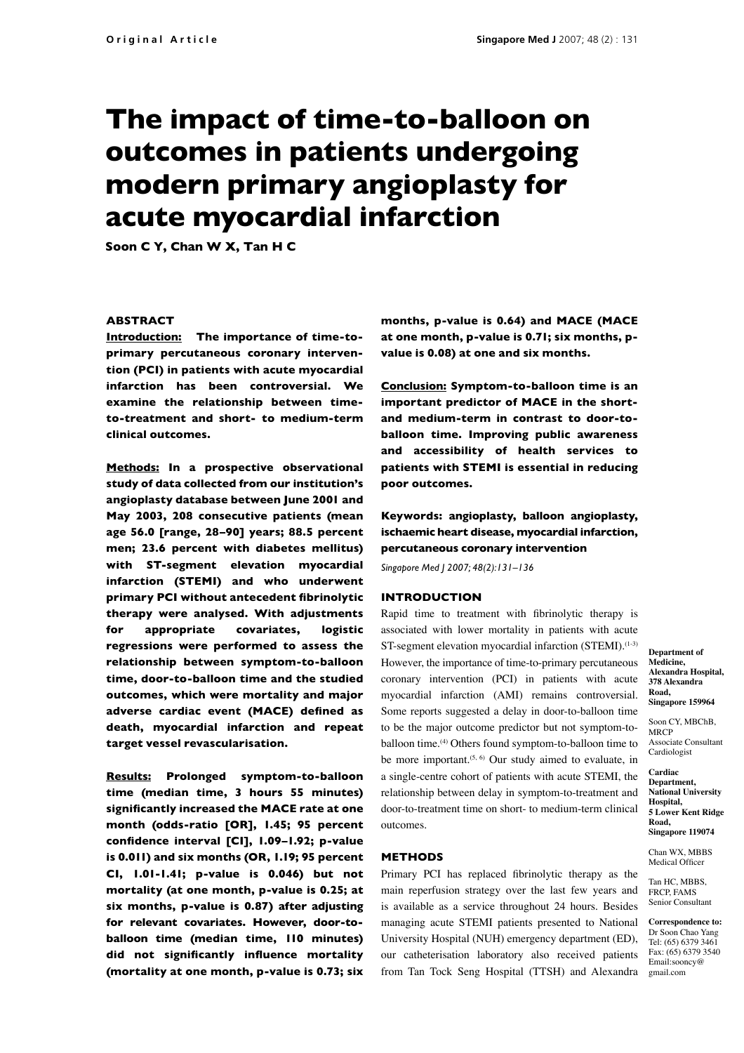# **The impact of time-to-balloon on outcomes in patients undergoing modern primary angioplasty for acute myocardial infarction**

**Soon C Y, Chan W X, Tan H C**

## **ABSTRACT**

**Introduction: The importance of time-to**primary percutaneous coronary interven**tion (PCI) in patients with acute myocardial infarction has been controversial. We examine the relationship between timeto-treatment and short- to medium-term clinical outcomes.**

**Methods: In a prospective observational study of data collected from our institution's angioplasty database between June 2001 and May 2003, 208 consecutive patients (mean age 56.0 [range, 28–90] years; 88.5 percent men; 23.6 percent with diabetes mellitus) with ST-segment elevation myocardial infarction (STEMI) and who underwent primary PCI without antecedent fibrinolytic therapy were analysed. With adjustments for appropriate covariates, logistic regressions were performed to assess the relationship between symptom-to-balloon time, door-to-balloon time and the studied outcomes, which were mortality and major**  adverse cardiac event (MACE) defined as **death, myocardial infarction and repeat target vessel revascularisation.**

**Results: Prolonged symptom-to-balloon time (median time, 3 hours 55 minutes) signifi cantly increased the MACE rate at one month (odds-ratio [OR], 1.45; 95 percent**  confidence interval [CI], 1.09-1.92; p-value **is 0.011) and six months (OR, 1.19; 95 percent CI, 1.01-1.41; p-value is 0.046) but not mortality (at one month, p-value is 0.25; at six months, p-value is 0.87) after adjusting for relevant covariates. However, door-toballoon time (median time, 110 minutes)**  did not significantly influence mortality **(mortality at one month, p-value is 0.73; six** 

**months, p-value is 0.64) and MACE (MACE at one month, p-value is 0.71; six months, pvalue is 0.08) at one and six months.** 

**Conclusion: Symptom-to-balloon time is an important predictor of MACE in the shortand medium-term in contrast to door-toballoon time. Improving public awareness and accessibility of health services to patients with STEMI is essential in reducing poor outcomes.** 

**Keywords: angioplasty, balloon angioplasty, ischaemic heart disease, myocardial infarction, percutaneous coronary inter ven tion**

*Singapore Med J 2007; 48(2):131–136*

### **INTRODUCTION**

Rapid time to treatment with fibrinolytic therapy is associated with lower mortality in patients with acute ST-segment elevation myocardial infarction (STEMI).<sup>(1-3)</sup> However, the importance of time-to-primary percutaneous coronary intervention (PCI) in patients with acute myocardial infarction (AMI) remains controversial. Some reports suggested a delay in door-to-balloon time to be the major outcome predictor but not symptom-toballoon time.(4) Others found symptom-to-balloon time to be more important.<sup> $(5, 6)$ </sup> Our study aimed to evaluate, in a single-centre cohort of patients with acute STEMI, the relationship between delay in symptom-to-treatment and door-to-treatment time on short- to medium-term clinical outcomes.

## **METHODS**

Primary PCI has replaced fibrinolytic therapy as the main reperfusion strategy over the last few years and is available as a service throughout 24 hours. Besides managing acute STEMI patients presented to National University Hospital (NUH) emergency department (ED), our catheterisation laboratory also received patients from Tan Tock Seng Hospital (TTSH) and Alexandra

**Department of Medicine, Alexandra Hospital, 378 Alexandra Road, Singapore 159964**

Soon CY, MBChB, **MRCP** Associate Consultant Cardiologist

**Cardiac Department, National University Hospital, 5 Lower Kent Ridge Road, Singapore 119074**

Chan WX, MBBS Medical Officer

Tan HC, MBBS, FRCP, FAMS Senior Consultant

**Correspondence to:** Dr Soon Chao Yang Tel: (65) 6379 3461 Fax: (65) 6379 3540 Email:sooncy@ gmail.com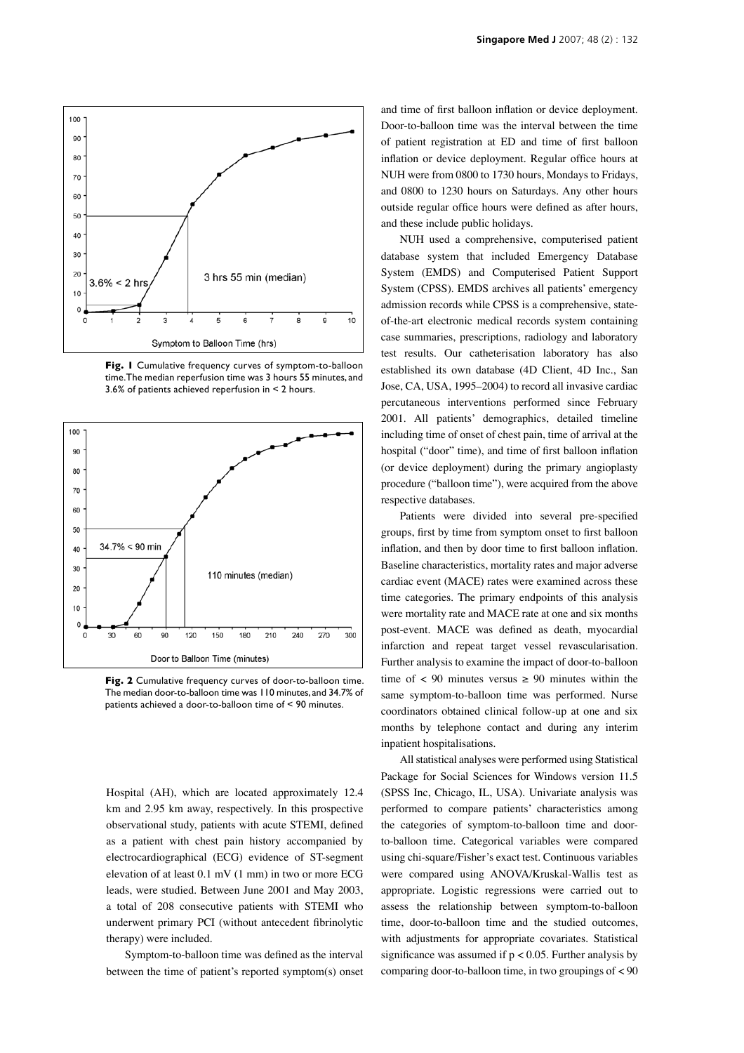

**Fig. 1** Cumulative frequency curves of symptom-to-balloon time.The median reperfusion time was 3 hours 55 minutes, and 3.6% of patients achieved reperfusion in < 2 hours.



**Fig. 2** Cumulative frequency curves of door-to-balloon time. The median door-to-balloon time was 110 minutes, and 34.7% of patients achieved a door-to-balloon time of < 90 minutes.

Hospital (AH), which are located approximately 12.4 km and 2.95 km away, respectively. In this prospective observational study, patients with acute STEMI, defined as a patient with chest pain history accompanied by electrocardiographical (ECG) evidence of ST-segment elevation of at least 0.1 mV (1 mm) in two or more ECG leads, were studied. Between June 2001 and May 2003, a total of 208 consecutive patients with STEMI who underwent primary PCI (without antecedent fibrinolytic therapy) were included.

Symptom-to-balloon time was defined as the interval between the time of patient's reported symptom(s) onset and time of first balloon inflation or device deployment. Door-to-balloon time was the interval between the time of patient registration at ED and time of first balloon inflation or device deployment. Regular office hours at NUH were from 0800 to 1730 hours, Mondays to Fridays, and 0800 to 1230 hours on Saturdays. Any other hours outside regular office hours were defined as after hours, and these include public holidays.

NUH used a comprehensive, computerised patient database system that included Emergency Database System (EMDS) and Computerised Patient Support System (CPSS). EMDS archives all patients' emergency admission records while CPSS is a comprehensive, stateof-the-art electronic medical records system containing case summaries, prescriptions, radiology and laboratory test results. Our catheterisation laboratory has also established its own database (4D Client, 4D Inc., San Jose, CA, USA, 1995–2004) to record all invasive cardiac percutaneous interventions performed since February 2001. All patients' demographics, detailed timeline including time of onset of chest pain, time of arrival at the hospital ("door" time), and time of first balloon inflation (or device deployment) during the primary angioplasty procedure ("balloon time"), were acquired from the above respective databases.

Patients were divided into several pre-specified groups, first by time from symptom onset to first balloon inflation, and then by door time to first balloon inflation. Baseline characteristics, mortality rates and major adverse cardiac event (MACE) rates were examined across these time categories. The primary endpoints of this analysis were mortality rate and MACE rate at one and six months post-event. MACE was defined as death, myocardial infarction and repeat target vessel revascularisation. Further analysis to examine the impact of door-to-balloon time of  $\langle 90 \rangle$  minutes versus  $\geq 90$  minutes within the same symptom-to-balloon time was performed. Nurse coordinators obtained clinical follow-up at one and six months by telephone contact and during any interim inpatient hospitalisations.

All statistical analyses were performed using Statistical Package for Social Sciences for Windows version 11.5 (SPSS Inc, Chicago, IL, USA). Univariate analysis was performed to compare patients' characteristics among the categories of symptom-to-balloon time and doorto-balloon time. Categorical variables were compared using chi-square/Fisher's exact test. Continuous variables were compared using ANOVA/Kruskal-Wallis test as appropriate. Logistic regressions were carried out to assess the relationship between symptom-to-balloon time, door-to-balloon time and the studied outcomes, with adjustments for appropriate covariates. Statistical significance was assumed if  $p < 0.05$ . Further analysis by comparing door-to-balloon time, in two groupings of < 90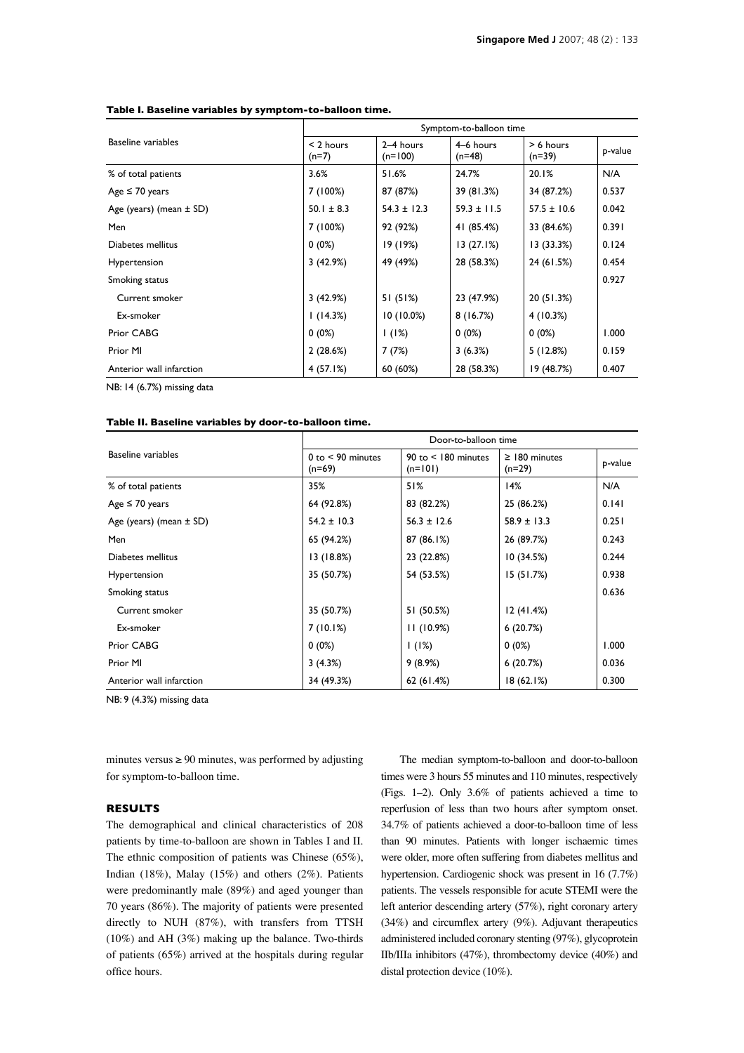| <b>Baseline variables</b>   | Symptom-to-balloon time |                        |                       |                         |         |
|-----------------------------|-------------------------|------------------------|-----------------------|-------------------------|---------|
|                             | $<$ 2 hours<br>$(n=7)$  | 2-4 hours<br>$(n=100)$ | 4–6 hours<br>$(n=48)$ | $> 6$ hours<br>$(n=39)$ | p-value |
| % of total patients         | 3.6%                    | 51.6%                  | 24.7%                 | 20.1%                   | N/A     |
| Age $\leq 70$ years         | 7 (100%)                | 87 (87%)               | 39 (81.3%)            | 34 (87.2%)              | 0.537   |
| Age (years) (mean $\pm$ SD) | $50.1 \pm 8.3$          | $54.3 \pm 12.3$        | $59.3 \pm 11.5$       | $57.5 \pm 10.6$         | 0.042   |
| Men                         | 7 (100%)                | 92 (92%)               | 41 (85.4%)            | 33 (84.6%)              | 0.391   |
| Diabetes mellitus           | $0(0\%)$                | 19 (19%)               | 13(27.1%)             | 13(33.3%)               | 0.124   |
| Hypertension                | 3(42.9%)                | 49 (49%)               | 28 (58.3%)            | 24 (61.5%)              | 0.454   |
| Smoking status              |                         |                        |                       |                         | 0.927   |
| Current smoker              | 3(42.9%)                | 51 (51%)               | 23 (47.9%)            | 20(51.3%)               |         |
| Ex-smoker                   | 1(14.3%)                | $10(10.0\%)$           | 8(16.7%)              | 4(10.3%)                |         |
| Prior CABG                  | $0(0\%)$                | 1(1%)                  | $0(0\%)$              | $0(0\%)$                | 1.000   |
| Prior MI                    | 2(28.6%)                | 7(7%)                  | 3(6.3%)               | 5(12.8%)                | 0.159   |
| Anterior wall infarction    | 4(57.1%)                | 60 (60%)               | 28 (58.3%)            | 19 (48.7%)              | 0.407   |
|                             |                         |                        |                       |                         |         |

#### **Table I. Baseline variables by symptom-to-balloon time.**

NB: 14 (6.7%) missing data

# **Table II. Baseline variables by door-to-balloon time.**

| <b>Baseline variables</b>   |                                 | Door-to-balloon time                 |                                |         |  |  |  |
|-----------------------------|---------------------------------|--------------------------------------|--------------------------------|---------|--|--|--|
|                             | $0$ to $<$ 90 minutes<br>(n=69) | $90$ to $<$ 180 minutes<br>$(n=101)$ | $\geq$ 180 minutes<br>$(n=29)$ | p-value |  |  |  |
| % of total patients         | 35%                             | 51%                                  | 14%                            | N/A     |  |  |  |
| Age $\leq 70$ years         | 64 (92.8%)                      | 83 (82.2%)                           | 25 (86.2%)                     | 0.141   |  |  |  |
| Age (years) (mean $\pm$ SD) | $54.2 \pm 10.3$                 | $56.3 \pm 12.6$                      | $58.9 \pm 13.3$                | 0.251   |  |  |  |
| Men                         | 65 (94.2%)                      | 87 (86.1%)                           | 26 (89.7%)                     | 0.243   |  |  |  |
| Diabetes mellitus           | 13(18.8%)                       | 23 (22.8%)                           | 10(34.5%)                      | 0.244   |  |  |  |
| Hypertension                | 35 (50.7%)                      | 54 (53.5%)                           | 15(51.7%)                      | 0.938   |  |  |  |
| Smoking status              |                                 |                                      |                                | 0.636   |  |  |  |
| Current smoker              | 35 (50.7%)                      | 51 (50.5%)                           | 12(41.4%)                      |         |  |  |  |
| Ex-smoker                   | 7(10.1%)                        | 11(10.9%)                            | 6(20.7%)                       |         |  |  |  |
| Prior CABG                  | $0(0\%)$                        | (1%)                                 | $0(0\%)$                       | 1.000   |  |  |  |
| Prior MI                    | 3(4.3%)                         | 9(8.9%)                              | 6(20.7%)                       | 0.036   |  |  |  |
| Anterior wall infarction    | 34 (49.3%)                      | 62(61.4%)                            | 18(62.1%)                      | 0.300   |  |  |  |

NB: 9 (4.3%) missing data

minutes versus  $\geq 90$  minutes, was performed by adjusting for symptom-to-balloon time.

## **RESULTS**

The demographical and clinical characteristics of 208 patients by time-to-balloon are shown in Tables I and II. The ethnic composition of patients was Chinese (65%), Indian (18%), Malay (15%) and others (2%). Patients were predominantly male (89%) and aged younger than 70 years (86%). The majority of patients were presented directly to NUH (87%), with transfers from TTSH (10%) and AH (3%) making up the balance. Two-thirds of patients (65%) arrived at the hospitals during regular office hours.

The median symptom-to-balloon and door-to-balloon times were 3 hours 55 minutes and 110 minutes, respectively (Figs. 1–2). Only 3.6% of patients achieved a time to reperfusion of less than two hours after symptom onset. 34.7% of patients achieved a door-to-balloon time of less than 90 minutes. Patients with longer ischaemic times were older, more often suffering from diabetes mellitus and hypertension. Cardiogenic shock was present in 16 (7.7%) patients. The vessels responsible for acute STEMI were the left anterior descending artery (57%), right coronary artery  $(34%)$  and circumflex artery  $(9%)$ . Adjuvant therapeutics administered included coronary stenting (97%), glycoprotein IIb/IIIa inhibitors (47%), thrombectomy device (40%) and distal protection device (10%).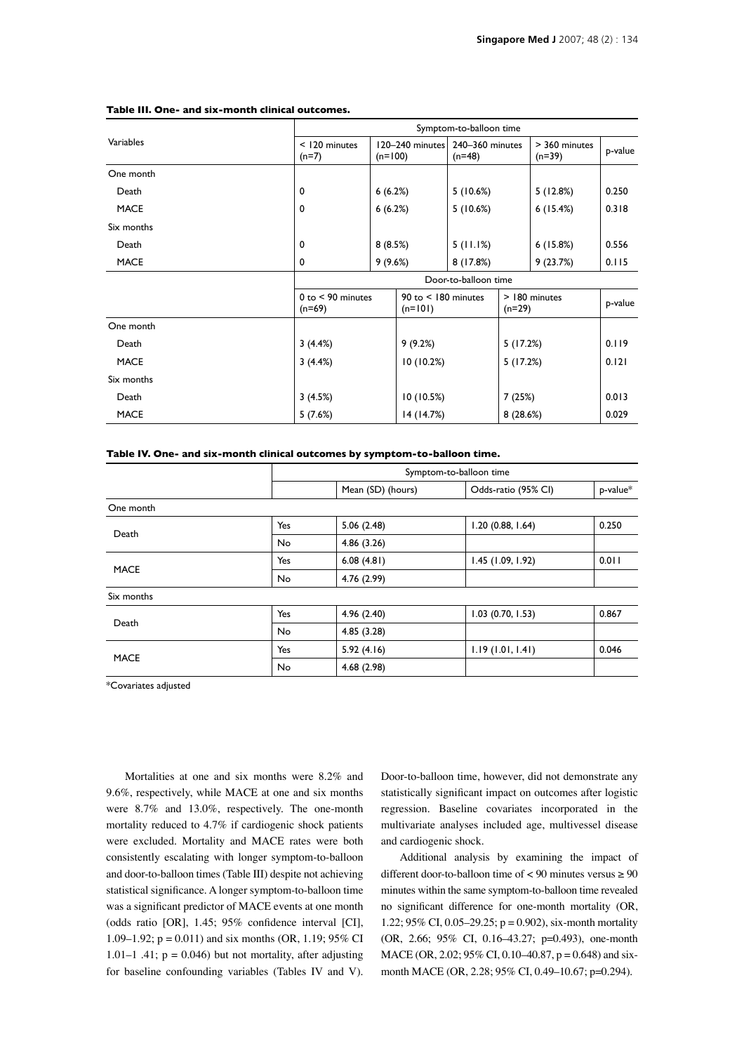|             | Symptom-to-balloon time           |                              |                                                  |                             |               |                           |         |
|-------------|-----------------------------------|------------------------------|--------------------------------------------------|-----------------------------|---------------|---------------------------|---------|
| Variables   | < 120 minutes<br>$(n=7)$          | 120-240 minutes<br>$(n=100)$ |                                                  | 240-360 minutes<br>$(n=48)$ |               | > 360 minutes<br>$(n=39)$ | p-value |
| One month   |                                   |                              |                                                  |                             |               |                           |         |
| Death       | 0                                 | 6(6.2%)                      |                                                  | 5(10.6%)                    |               | 5(12.8%)                  | 0.250   |
| <b>MACE</b> | 0                                 | 6(6.2%)                      |                                                  | 5(10.6%)                    |               | 6(15.4%)                  | 0.318   |
| Six months  |                                   |                              |                                                  |                             |               |                           |         |
| Death       | 0                                 | 8(8.5%)                      |                                                  | 5(11.1%)                    |               | 6(15.8%)                  | 0.556   |
| <b>MACE</b> | 0                                 | 9(9.6%)                      |                                                  | 8(17.8%)                    |               | 9(23.7%)                  | 0.115   |
|             | Door-to-balloon time              |                              |                                                  |                             |               |                           |         |
|             | $0$ to $<$ 90 minutes<br>$(n=69)$ |                              | $90$ to $<$ 180 minutes<br>$(n=101)$<br>$(n=29)$ |                             | > 180 minutes | p-value                   |         |
| One month   |                                   |                              |                                                  |                             |               |                           |         |
| Death       | 3(4.4%)                           |                              | 9(9.2%)                                          |                             | 5(17.2%)      |                           | 0.119   |
| <b>MACE</b> | 3(4.4%)                           |                              | 10(10.2%)                                        |                             | 5(17.2%)      |                           | 0.121   |
| Six months  |                                   |                              |                                                  |                             |               |                           |         |
| Death       | 3(4.5%)                           |                              | 10(10.5%)                                        |                             | 7(25%)        |                           | 0.013   |
| <b>MACE</b> | 5(7.6%)                           |                              | 14(14.7%)                                        |                             | 8(28.6%)      |                           | 0.029   |

#### **Table III. One- and six-month clinical outcomes.**

**Table IV. One- and six-month clinical outcomes by symptom-to-balloon time.**

|             |           | Symptom-to-balloon time |                                                                                                                                                  |          |  |
|-------------|-----------|-------------------------|--------------------------------------------------------------------------------------------------------------------------------------------------|----------|--|
|             |           | Mean (SD) (hours)       | Odds-ratio (95% CI)                                                                                                                              | p-value* |  |
| One month   |           |                         |                                                                                                                                                  |          |  |
| Death       | Yes       | 5.06(2.48)              | 1.20(0.88, 1.64)                                                                                                                                 | 0.250    |  |
|             | <b>No</b> | 4.86(3.26)              | 6.08(4.81)<br>1.45(1.09, 1.92)<br>4.76 (2.99)<br>4.96(2.40)<br>$1.03$ (0.70, 1.53)<br>4.85(3.28)<br>5.92(4.16)<br>1.19(1.01, 1.41)<br>4.68(2.98) |          |  |
| <b>MACE</b> | Yes       |                         |                                                                                                                                                  | 0.011    |  |
|             | <b>No</b> |                         |                                                                                                                                                  |          |  |
| Six months  |           |                         |                                                                                                                                                  |          |  |
| Death       | Yes       |                         |                                                                                                                                                  | 0.867    |  |
|             | <b>No</b> |                         |                                                                                                                                                  |          |  |
| <b>MACE</b> | Yes       |                         |                                                                                                                                                  | 0.046    |  |
|             | <b>No</b> |                         |                                                                                                                                                  |          |  |

\*Covariates adjusted

Mortalities at one and six months were 8.2% and 9.6%, respectively, while MACE at one and six months were 8.7% and 13.0%, respectively. The one-month mortality reduced to 4.7% if cardiogenic shock patients were excluded. Mortality and MACE rates were both consistently escalating with longer symptom-to-balloon and door-to-balloon times (Table III) despite not achieving statistical significance. A longer symptom-to-balloon time was a significant predictor of MACE events at one month (odds ratio  $[OR]$ , 1.45; 95% confidence interval  $[CI]$ , 1.09–1.92;  $p = 0.011$ ) and six months (OR, 1.19; 95% CI 1.01–1 .41;  $p = 0.046$ ) but not mortality, after adjusting for baseline confounding variables (Tables IV and V). Door-to-balloon time, however, did not demonstrate any statistically significant impact on outcomes after logistic regression. Baseline covariates incorporated in the multivariate analyses included age, multivessel disease and cardiogenic shock.

Additional analysis by examining the impact of different door-to-balloon time of  $< 90$  minutes versus  $\geq 90$ minutes within the same symptom-to-balloon time revealed no significant difference for one-month mortality (OR, 1.22; 95% CI, 0.05–29.25;  $p = 0.902$ ), six-month mortality (OR, 2.66; 95% CI, 0.16–43.27; p=0.493), one-month MACE (OR, 2.02; 95% CI, 0.10–40.87, p = 0.648) and sixmonth MACE (OR, 2.28; 95% CI, 0.49–10.67; p=0.294).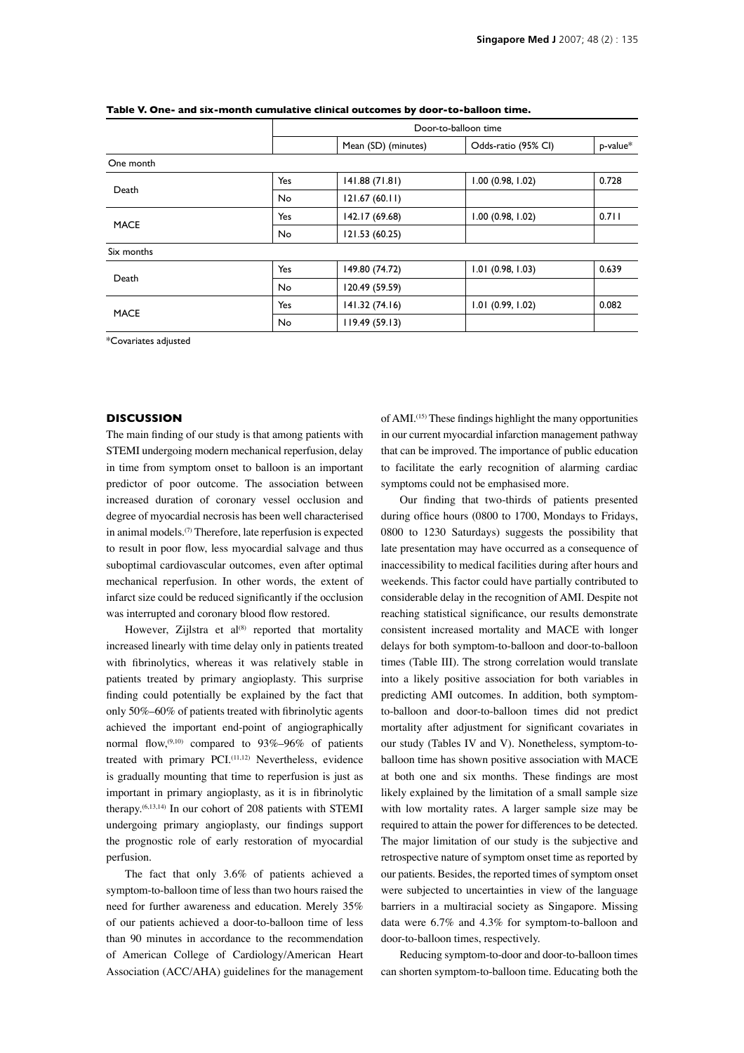|             |                                                                                | Door-to-balloon time |                     |          |  |
|-------------|--------------------------------------------------------------------------------|----------------------|---------------------|----------|--|
|             |                                                                                | Mean (SD) (minutes)  | Odds-ratio (95% CI) | p-value* |  |
| One month   |                                                                                |                      |                     |          |  |
| Death       | Yes                                                                            | 141.88 (71.81)       | 1.00(0.98, 1.02)    | 0.728    |  |
|             | 121.67(60.11)<br><b>No</b><br>142.17 (69.68)<br>Yes<br>1.00(0.98, 1.02)<br>No. |                      |                     |          |  |
| <b>MACE</b> |                                                                                |                      |                     | 0.711    |  |
|             |                                                                                | 121.53 (60.25)       |                     |          |  |
| Six months  |                                                                                |                      |                     |          |  |
| Death       | Yes                                                                            | 149.80 (74.72)       | $1.01$ (0.98, 1.03) | 0.639    |  |
|             | <b>No</b>                                                                      | 120.49 (59.59)       |                     |          |  |
| <b>MACE</b> | Yes                                                                            | 141.32(74.16)        | $1.01$ (0.99, 1.02) | 0.082    |  |
|             | No                                                                             | 119.49(59.13)        |                     |          |  |

**Table V. One- and six-month cumulative clinical outcomes by door-to-balloon time.**

\*Covariates adjusted

## **DISCUSSION**

The main finding of our study is that among patients with STEMI undergoing modern mechanical reperfusion, delay in time from symptom onset to balloon is an important predictor of poor outcome. The association between increased duration of coronary vessel occlusion and degree of myocardial necrosis has been well characterised in animal models. $(7)$  Therefore, late reperfusion is expected to result in poor flow, less myocardial salvage and thus suboptimal cardiovascular outcomes, even after optimal mechanical reperfusion. In other words, the extent of infarct size could be reduced significantly if the occlusion was interrupted and coronary blood flow restored.

However, Zijlstra et al $^{(8)}$  reported that mortality increased linearly with time delay only in patients treated with fibrinolytics, whereas it was relatively stable in patients treated by primary angioplasty. This surprise finding could potentially be explained by the fact that only  $50\% -60\%$  of patients treated with fibrinolytic agents achieved the important end-point of angiographically normal flow,  $(9,10)$  compared to  $93\% - 96\%$  of patients treated with primary PCI.<sup>(11,12)</sup> Nevertheless, evidence is gradually mounting that time to reperfusion is just as important in primary angioplasty, as it is in fibrinolytic therapy.(6,13,14) In our cohort of 208 patients with STEMI undergoing primary angioplasty, our findings support the prognostic role of early restoration of myocardial perfusion.

The fact that only 3.6% of patients achieved a symptom-to-balloon time of less than two hours raised the need for further awareness and education. Merely 35% of our patients achieved a door-to-balloon time of less than 90 minutes in accordance to the recommendation of American College of Cardiology/American Heart Association (ACC/AHA) guidelines for the management of AMI.<sup>(15)</sup> These findings highlight the many opportunities in our current myocardial infarction management pathway that can be improved. The importance of public education to facilitate the early recognition of alarming cardiac symptoms could not be emphasised more.

Our finding that two-thirds of patients presented during office hours (0800 to 1700, Mondays to Fridays, 0800 to 1230 Saturdays) suggests the possibility that late presentation may have occurred as a consequence of inaccessibility to medical facilities during after hours and weekends. This factor could have partially contributed to considerable delay in the recognition of AMI. Despite not reaching statistical significance, our results demonstrate consistent increased mortality and MACE with longer delays for both symptom-to-balloon and door-to-balloon times (Table III). The strong correlation would translate into a likely positive association for both variables in predicting AMI outcomes. In addition, both symptomto-balloon and door-to-balloon times did not predict mortality after adjustment for significant covariates in our study (Tables IV and V). Nonetheless, symptom-toballoon time has shown positive association with MACE at both one and six months. These findings are most likely explained by the limitation of a small sample size with low mortality rates. A larger sample size may be required to attain the power for differences to be detected. The major limitation of our study is the subjective and retrospective nature of symptom onset time as reported by our patients. Besides, the reported times of symptom onset were subjected to uncertainties in view of the language barriers in a multiracial society as Singapore. Missing data were 6.7% and 4.3% for symptom-to-balloon and door-to-balloon times, respectively.

Reducing symptom-to-door and door-to-balloon times can shorten symptom-to-balloon time. Educating both the